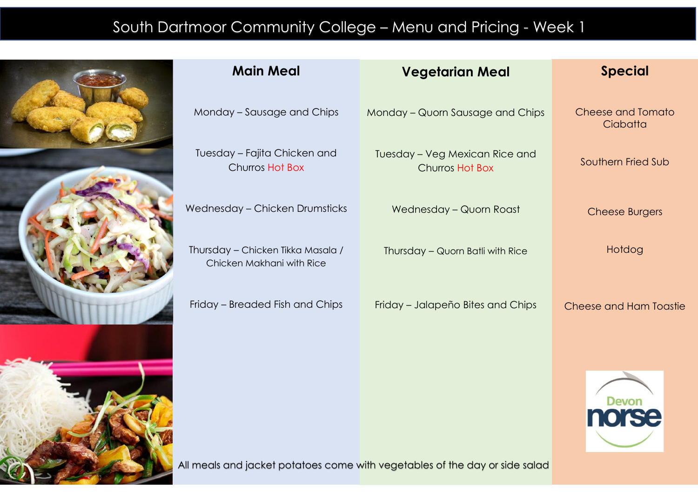## South Dartmoor Community College – Menu and Pricing - Week 1



| <b>Main Meal</b>                                               | <b>Vegetarian Meal</b>                                   | <b>Special</b>                       |
|----------------------------------------------------------------|----------------------------------------------------------|--------------------------------------|
| Monday - Sausage and Chips                                     | Monday - Quorn Sausage and Chips                         | <b>Cheese and Tomato</b><br>Ciabatta |
| Tuesday - Fajita Chicken and<br>Churros Hot Box                | Tuesday – Veg Mexican Rice and<br><b>Churros Hot Box</b> | Southern Fried Sub                   |
| Wednesday - Chicken Drumsticks                                 | Wednesday - Quorn Roast                                  | <b>Cheese Burgers</b>                |
| Thursday - Chicken Tikka Masala /<br>Chicken Makhani with Rice | Thursday - Quorn Batli with Rice                         | Hotdog                               |
| Friday – Breaded Fish and Chips                                | Friday - Jalapeño Bites and Chips                        | Cheese and Ham Toastie               |
|                                                                |                                                          | <b>Devon</b>                         |

All meals and jacket potatoes come with vegetables of the day or side salad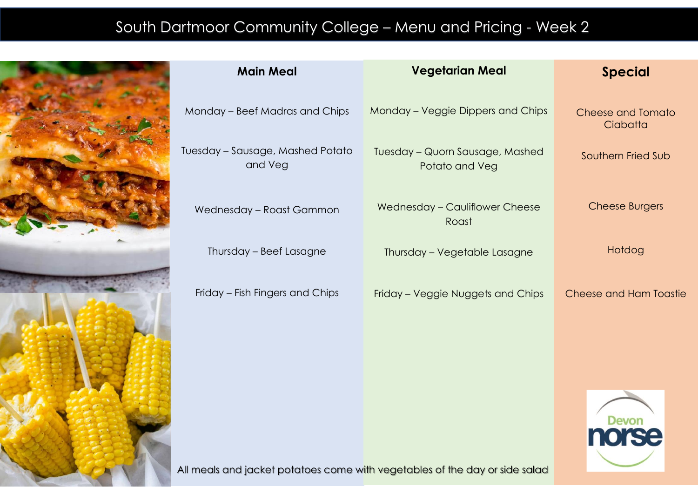## South Dartmoor Community College – Menu and Pricing - Week 2



| <b>Main Meal</b>                            | <b>Vegetarian Meal</b>                            | <b>Special</b>                       |
|---------------------------------------------|---------------------------------------------------|--------------------------------------|
| Monday - Beef Madras and Chips              | Monday – Veggie Dippers and Chips                 | <b>Cheese and Tomato</b><br>Ciabatta |
| Tuesday - Sausage, Mashed Potato<br>and Veg | Tuesday - Quorn Sausage, Mashed<br>Potato and Veg | Southern Fried Sub                   |
| Wednesday - Roast Gammon                    | Wednesday - Cauliflower Cheese<br>Roast           | <b>Cheese Burgers</b>                |
| Thursday - Beef Lasagne                     | Thursday - Vegetable Lasagne                      | Hotdog                               |
| Friday – Fish Fingers and Chips             | Friday – Veggie Nuggets and Chips                 | <b>Cheese and Ham Toastie</b>        |
|                                             |                                                   |                                      |

All meals and jacket potatoes come with vegetables of the day or side salad